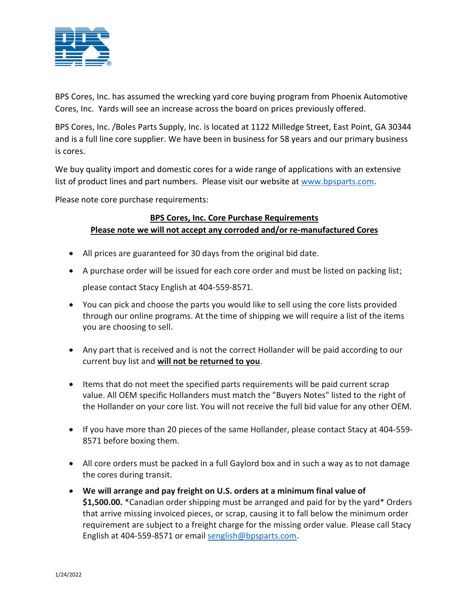

BPS Cores, Inc. has assumed the wrecking yard core buying program from Phoenix Automotive Cores, Inc. Yards will see an increase across the board on prices previously offered.

BPS Cores, Inc. /Boles Parts Supply, Inc. is located at 1122 Milledge Street, East Point, GA 30344 and is a full line core supplier. We have been in business for 58 years and our primary business is cores.

We buy quality import and domestic cores for a wide range of applications with an extensive list of product lines and part numbers. Please visit our website at [www.bpsparts.com.](http://www.bpsparts.com/)

Please note core purchase requirements:

## **BPS Cores, Inc. Core Purchase Requirements Please note we will not accept any corroded and/or re-manufactured Cores**

- All prices are guaranteed for 30 days from the original bid date.
- A purchase order will be issued for each core order and must be listed on packing list; please contact Stacy English at 404-559-8571.
- You can pick and choose the parts you would like to sell using the core lists provided through our online programs. At the time of shipping we will require a list of the items you are choosing to sell.
- Any part that is received and is not the correct Hollander will be paid according to our current buy list and **will not be returned to you**.
- Items that do not meet the specified parts requirements will be paid current scrap value. All OEM specific Hollanders must match the "Buyers Notes" listed to the right of the Hollander on your core list. You will not receive the full bid value for any other OEM.
- If you have more than 20 pieces of the same Hollander, please contact Stacy at 404-559- 8571 before boxing them.
- All core orders must be packed in a full Gaylord box and in such a way as to not damage the cores during transit.
- **We will arrange and pay freight on U.S. orders at a minimum final value of \$1,500.00.** \*Canadian order shipping must be arranged and paid for by the yard\* Orders that arrive missing invoiced pieces, or scrap, causing it to fall below the minimum order requirement are subject to a freight charge for the missing order value. Please call Stacy English at 404-559-8571 or email [senglish@bpsparts.com.](mailto:senglish@bpsparts.com)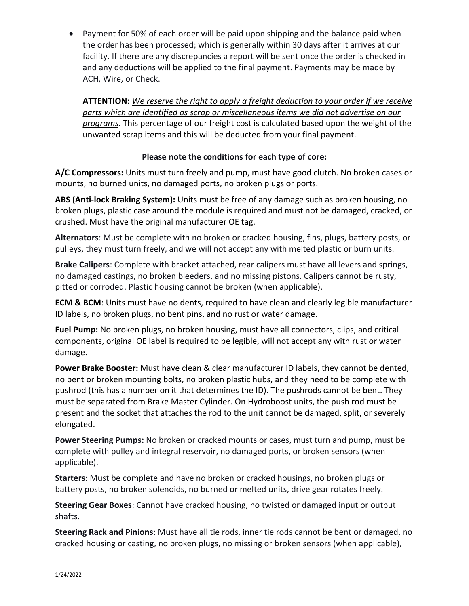• Payment for 50% of each order will be paid upon shipping and the balance paid when the order has been processed; which is generally within 30 days after it arrives at our facility. If there are any discrepancies a report will be sent once the order is checked in and any deductions will be applied to the final payment. Payments may be made by ACH, Wire, or Check.

**ATTENTION:** *We reserve the right to apply a freight deduction to your order if we receive parts which are identified as scrap or miscellaneous items we did not advertise on our programs*. This percentage of our freight cost is calculated based upon the weight of the unwanted scrap items and this will be deducted from your final payment.

## **Please note the conditions for each type of core:**

**A/C Compressors:** Units must turn freely and pump, must have good clutch. No broken cases or mounts, no burned units, no damaged ports, no broken plugs or ports.

**ABS (Anti-lock Braking System):** Units must be free of any damage such as broken housing, no broken plugs, plastic case around the module is required and must not be damaged, cracked, or crushed. Must have the original manufacturer OE tag.

**Alternators**: Must be complete with no broken or cracked housing, fins, plugs, battery posts, or pulleys, they must turn freely, and we will not accept any with melted plastic or burn units.

**Brake Calipers**: Complete with bracket attached, rear calipers must have all levers and springs, no damaged castings, no broken bleeders, and no missing pistons. Calipers cannot be rusty, pitted or corroded. Plastic housing cannot be broken (when applicable).

**ECM & BCM**: Units must have no dents, required to have clean and clearly legible manufacturer ID labels, no broken plugs, no bent pins, and no rust or water damage.

**Fuel Pump:** No broken plugs, no broken housing, must have all connectors, clips, and critical components, original OE label is required to be legible, will not accept any with rust or water damage.

**Power Brake Booster:** Must have clean & clear manufacturer ID labels, they cannot be dented, no bent or broken mounting bolts, no broken plastic hubs, and they need to be complete with pushrod (this has a number on it that determines the ID). The pushrods cannot be bent. They must be separated from Brake Master Cylinder. On Hydroboost units, the push rod must be present and the socket that attaches the rod to the unit cannot be damaged, split, or severely elongated.

**Power Steering Pumps:** No broken or cracked mounts or cases, must turn and pump, must be complete with pulley and integral reservoir, no damaged ports, or broken sensors (when applicable).

**Starters**: Must be complete and have no broken or cracked housings, no broken plugs or battery posts, no broken solenoids, no burned or melted units, drive gear rotates freely.

**Steering Gear Boxes**: Cannot have cracked housing, no twisted or damaged input or output shafts.

**Steering Rack and Pinions**: Must have all tie rods, inner tie rods cannot be bent or damaged, no cracked housing or casting, no broken plugs, no missing or broken sensors (when applicable),